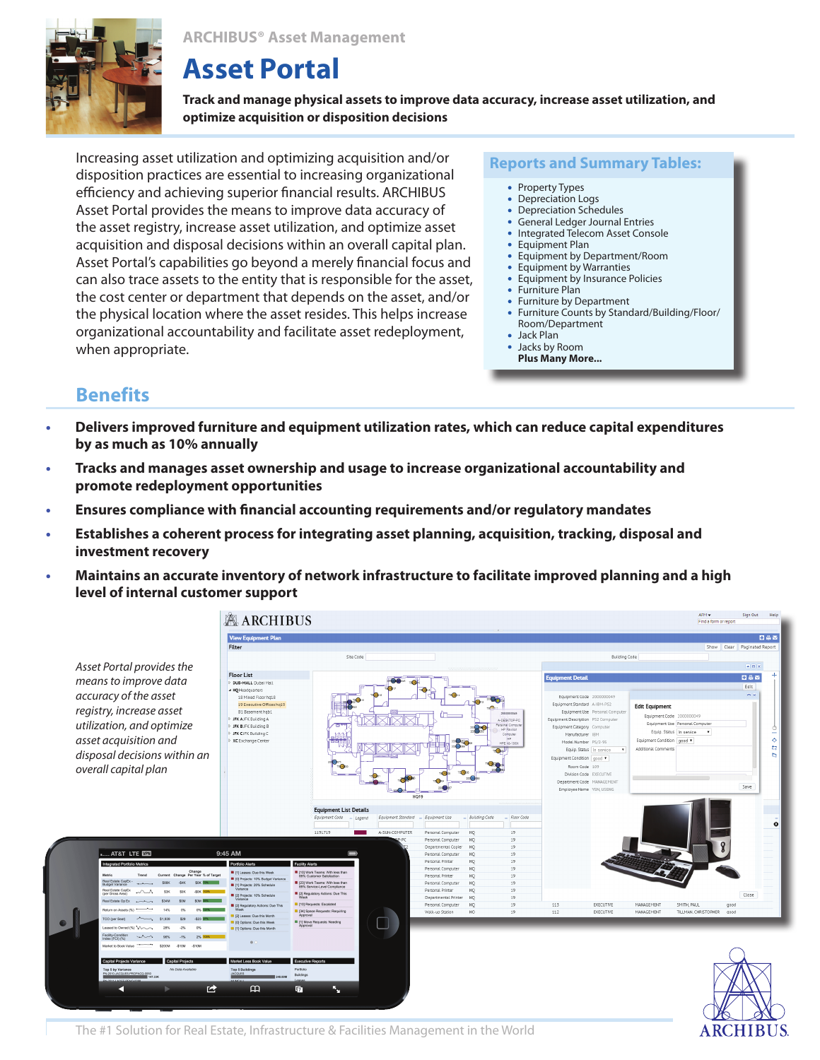**ARCHIBUS® Asset Management**



# **Asset Portal**

**Track and manage physical assets to improve data accuracy, increase asset utilization, and optimize acquisition or disposition decisions** 

Increasing asset utilization and optimizing acquisition and/or disposition practices are essential to increasing organizational efficiency and achieving superior financial results. ARCHIBUS Asset Portal provides the means to improve data accuracy of the asset registry, increase asset utilization, and optimize asset acquisition and disposal decisions within an overall capital plan. Asset Portal's capabilities go beyond a merely financial focus and can also trace assets to the entity that is responsible for the asset, the cost center or department that depends on the asset, and/or the physical location where the asset resides. This helps increase organizational accountability and facilitate asset redeployment, when appropriate.

**Reports and Summary Tables:**

- Property Types
- $\bullet$ Depreciation Logs
- $\bullet$ Depreciation Schedules
- General Ledger Journal Entries
- Integrated Telecom Asset Console
- Equipment Plan  $\bullet$
- Equipment by Department/Room  $\bullet$
- $\bullet$ Equipment by Warranties
- Equipment by Insurance Policies
- Furniture Plan
- Furniture by Department Furniture Counts by Standard/Building/Floor/  $\bullet$ Room/Department

**ARCHIBUS** 

- Jack Plan
- Jacks by Room
	- **Plus Many More...**

# **Benefits**

- **Delivers improved furniture and equipment utilization rates, which can reduce capital expenditures by as much as 10% annually**
- **Tracks and manages asset ownership and usage to increase organizational accountability and promote redeployment opportunities**
- **Ensures compliance with financial accounting requirements and/or regulatory mandates**
- **Establishes a coherent process for integrating asset planning, acquisition, tracking, disposal and investment recovery**
- **Maintains an accurate inventory of network infrastructure to facilitate improved planning and a high level of internal customer support**



The #1 Solution for Real Estate, Infrastructure & Facilities Management in the World